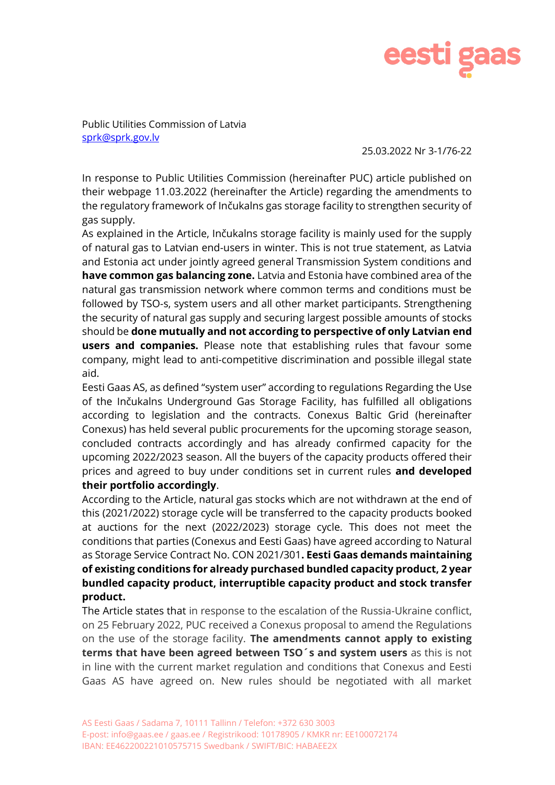

Public Utilities Commission of Latvia [sprk@sprk.gov.lv](mailto:sprk@sprk.gov.lv)

25.03.2022 Nr 3-1/76-22

In response to Public Utilities Commission (hereinafter PUC) article published on their webpage 11.03.2022 (hereinafter the Article) regarding the amendments to the regulatory framework of Inčukalns gas storage facility to strengthen security of gas supply.

As explained in the Article, Inčukalns storage facility is mainly used for the supply of natural gas to Latvian end-users in winter. This is not true statement, as Latvia and Estonia act under jointly agreed general Transmission System conditions and **have common gas balancing zone.** Latvia and Estonia have combined area of the natural gas transmission network where common terms and conditions must be followed by TSO-s, system users and all other market participants. Strengthening the security of natural gas supply and securing largest possible amounts of stocks should be **done mutually and not according to perspective of only Latvian end users and companies.** Please note that establishing rules that favour some company, might lead to anti-competitive discrimination and possible illegal state aid.

Eesti Gaas AS, as defined "system user" according to regulations Regarding the Use of the Inčukalns Underground Gas Storage Facility, has fulfilled all obligations according to legislation and the contracts. Conexus Baltic Grid (hereinafter Conexus) has held several public procurements for the upcoming storage season, concluded contracts accordingly and has already confirmed capacity for the upcoming 2022/2023 season. All the buyers of the capacity products offered their prices and agreed to buy under conditions set in current rules **and developed their portfolio accordingly**.

According to the Article, natural gas stocks which are not withdrawn at the end of this (2021/2022) storage cycle will be transferred to the capacity products booked at auctions for the next (2022/2023) storage cycle. This does not meet the conditions that parties (Conexus and Eesti Gaas) have agreed according to Natural as Storage Service Contract No. CON 2021/301**. Eesti Gaas demands maintaining of existing conditions for already purchased bundled capacity product, 2 year bundled capacity product, interruptible capacity product and stock transfer product.** 

The Article states that in response to the escalation of the Russia-Ukraine conflict, on 25 February 2022, PUC received a Conexus proposal to amend the Regulations on the use of the storage facility. **The amendments cannot apply to existing terms that have been agreed between TSO´s and system users** as this is not in line with the current market regulation and conditions that Conexus and Eesti Gaas AS have agreed on. New rules should be negotiated with all market